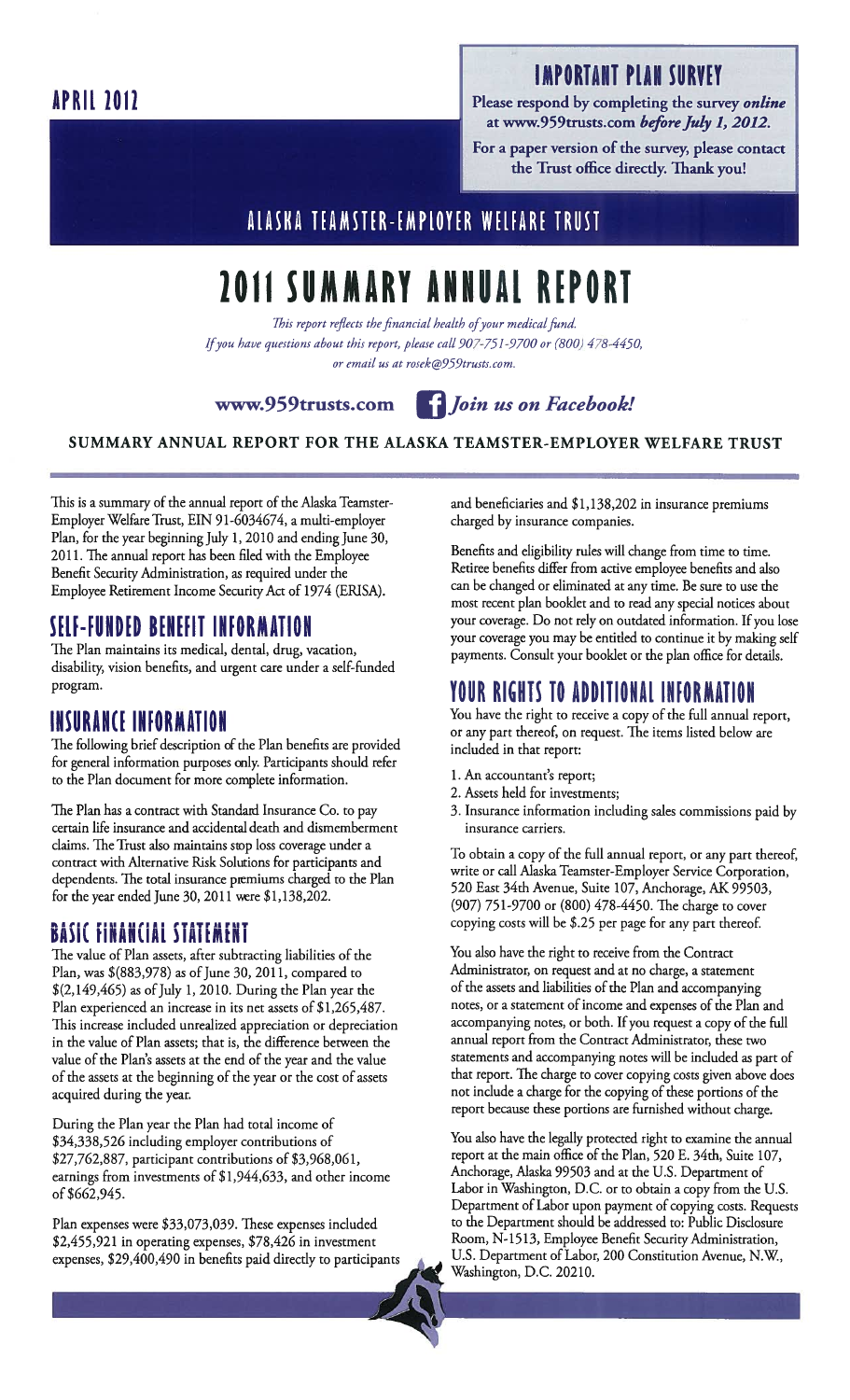### IMPORTANT PLAN SURVEY

Please respond by completing the survey *online* at www.959trusts.com before July 1, 2012.

For a paper version of the survey, please contact the Trust office directly. Thank you!

## ALASKA TEAMSTER-EMPLOYER WELFARE TRUST

# 2011 SUMMARY ANNUAL REPORT

This report reflects the financial health of your medical fund. Ifyou have questions about this report, please call 907-751-9700 or (800) 478-4450, or email us at rosek@959trusts.com.

www.959trusts.com *Join us on Facebook!* 



SUMMARY ANNUAL REPORT FOR THE ALASKA TEAMSTER-EMPLOYER WELFARE TRUST

This is a summary of the annual report of the Alaska Teamster-Employer Welfare Trust, EIN 91-6034674, a multi-employer Plan, for the year beginning July 1, 2010 and ending June 30, 2011. The annual report has been filed with the Employee Benefit Security Administration, as required under the Employee Retirement Income Security Act of 1974 (ERISA).

#### SELF-FUNDED BENEFIT INFORMATION

The Plan maintains its medical, dental, drug, vacation, disability; vision benefits, and urgent care under a self-funded program.

## INSURANCE INFORMATION

The following brief description of the Plan benefits are provided for general information purposes only. Participants should refer to the Plan document for more complete information.

The Plan has a contract with Standard Insurance Co. to pay certain life insurance and accidental death and dismemberment claims. The Trust also maintains stop loss coverage under a contract with Alternative Risk Solutions for participants and dependents. The total insurance premiums charged to the Plan for the year ended June 30, 2011 were \$1,138,202.

#### .<br>Dacie Einaneiai ctatentnt BAJIL TINANLIAL JIAILMLNI

The value of Plan assets, after subtracting liabilities of the Plan, was \$(883,978) as of June 30, 2011, compared to  $$(2,149,465)$  as of July 1, 2010. During the Plan year the Plan experienced an increase in its net assets of \$1,265,487. This increase included unrealized appreciation or depreciation in the value of Plan assets; that is, the difference between the value of the Plan's assets at the end of the year and the value of the assets at the beginning of the year or the cost of assets acquired during the year.

During the Plan year the Plan had total income of \$34,338,526 including employer contributions of \$27,762,887, participant contributions of \$3,968,061, earnings from investments of \$1,944,633, and other income of \$662,945.

Plan expenses were \$33,073,039. These expenses included \$2,455,921 in operating expenses, \$78,426 in investment expenses, \$29,400,490 in benefits paid directly to participants and beneficiaries and \$1,138,202 in insurance premiums charged by insurance companies.

Benefits and eligibility rules will change from time to time. Retiree benefits differ from active employee benefits and also can be changed or eliminated at any time. Be sure to use the most recent plan booklet and to read any special notices about your coverage. Do not rely on outdated information. If you lose your coverage you may be entitled to continue it by making self payments. Consult your booklet or the plan office for details.

## YOUR RIGHTS TO ADDITIONAL INFORMATION

You have the right to receive a copy of the full annual report, or any part thereof, on request. 'The items listed below are included in that report:

- 1. An accountant's report;
- 2. Assets held for investments;
- 3. Insurance information including sales commissions paid by insurance carriers.

To obtain a copy of the full annual report, or any part thereof, write or call Alaska Teamster-Employer Service Corporation, 520 East 34th Avenue, Suite 107, Anchorage, AK 99503, (907) 751-9700 or (800) 478-4450. The charge to cover copying costs will be \$.25 per page for any part thereof.

You also have the right to receive from the Contract Administrator, on request and at no charge, a statement of the assets and liabilities of the Plan and accompanying notes, or a statement of income and expenses of the Plan and accompanying notes, or both. If you request a copy of the full annual report from the Contract Administrator, these two statements and accompanying notes will be included as part of that report. The charge to cover copying costs given above does not include a charge for the copying of these portions of the report because these portions are furnished without charge.

You also have the legally protected right to examine the annual report at the main office of the Plan, 520 E. 34th, Suite 107, Anchorage, Alaska 99503 and at the U.S. Department of Labor in Washington, D.C. or to obtain a copy from the U.S. Department of Labor upon payment of copying costs. Requests to the Department should be addressed to: Public Disclosure Room, N- 1513, Employee Benefit Security Administration, U.S. Department of Labor, 200 Constitution Avenue, N.W, Washington, D.C. 20210.